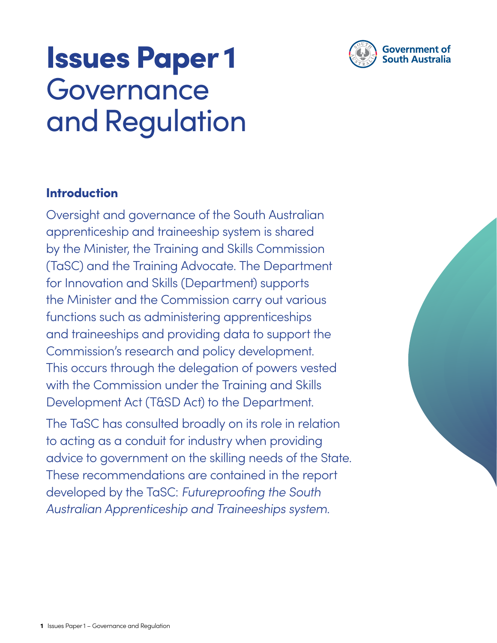

## Issues Paper 1 Governance and Regulation

### Introduction

Oversight and governance of the South Australian apprenticeship and traineeship system is shared by the Minister, the Training and Skills Commission (TaSC) and the Training Advocate. The Department for Innovation and Skills (Department) supports the Minister and the Commission carry out various functions such as administering apprenticeships and traineeships and providing data to support the Commission's research and policy development. This occurs through the delegation of powers vested with the Commission under the Training and Skills Development Act (T&SD Act) to the Department.

The TaSC has consulted broadly on its role in relation to acting as a conduit for industry when providing advice to government on the skilling needs of the State. These recommendations are contained in the report developed by the TaSC: Futureproofing the South Australian Apprenticeship and Traineeships system.

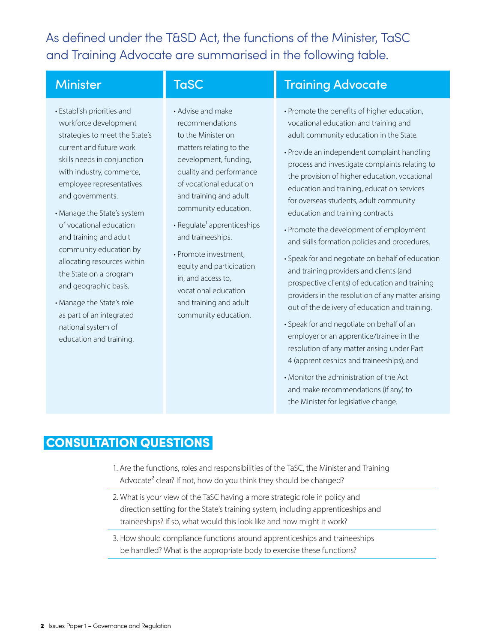As defined under the T&SD Act, the functions of the Minister, TaSC and Training Advocate are summarised in the following table.

- Establish priorities and workforce development strategies to meet the State's current and future work skills needs in conjunction with industry, commerce, employee representatives and governments.
- Manage the State's system of vocational education and training and adult community education by allocating resources within the State on a program and geographic basis.
- Manage the State's role as part of an integrated national system of education and training.

- Advise and make recommendations to the Minister on matters relating to the development, funding, quality and performance of vocational education and training and adult community education.
- $\cdot$  Regulate<sup>1</sup> apprenticeships and traineeships.
- Promote investment, equity and participation in, and access to, vocational education and training and adult community education.

### Minister **TaSC** Training Advocate

- Promote the benefits of higher education, vocational education and training and adult community education in the State.
- Provide an independent complaint handling process and investigate complaints relating to the provision of higher education, vocational education and training, education services for overseas students, adult community education and training contracts
- Promote the development of employment and skills formation policies and procedures.
- Speak for and negotiate on behalf of education and training providers and clients (and prospective clients) of education and training providers in the resolution of any matter arising out of the delivery of education and training.
- Speak for and negotiate on behalf of an employer or an apprentice/trainee in the resolution of any matter arising under Part 4 (apprenticeships and traineeships); and
- Monitor the administration of the Act and make recommendations (if any) to the Minister for legislative change.

#### CONSULTATION QUESTIONS

- 1. Are the functions, roles and responsibilities of the TaSC, the Minister and Training Advocate<sup>2</sup> clear? If not, how do you think they should be changed?
- 2. What is your view of the TaSC having a more strategic role in policy and direction setting for the State's training system, including apprenticeships and traineeships? If so, what would this look like and how might it work?
- 3. How should compliance functions around apprenticeships and traineeships be handled? What is the appropriate body to exercise these functions?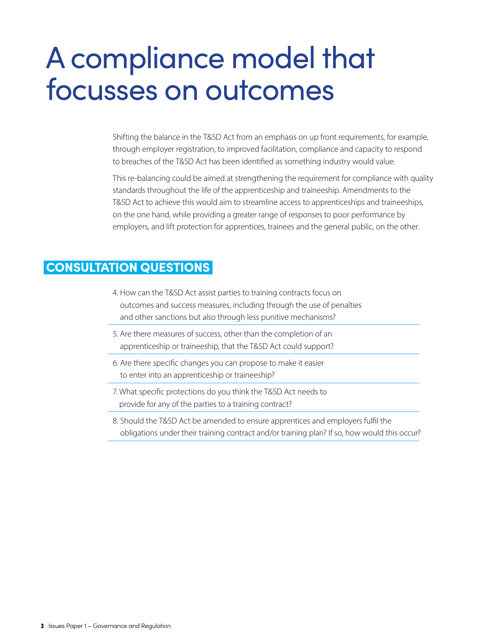## A compliance model that focusses on outcomes

Shifting the balance in the T&SD Act from an emphasis on up front requirements, for example, through employer registration, to improved facilitation, compliance and capacity to respond to breaches of the T&SD Act has been identified as something industry would value.

This re-balancing could be aimed at strengthening the requirement for compliance with quality standards throughout the life of the apprenticeship and traineeship. Amendments to the T&SD Act to achieve this would aim to streamline access to apprenticeships and traineeships, on the one hand, while providing a greater range of responses to poor performance by employers, and lift protection for apprentices, trainees and the general public, on the other.

### CONSULTATION QUESTIONS

- 4. How can the T&SD Act assist parties to training contracts focus on outcomes and success measures, including through the use of penalties and other sanctions but also through less punitive mechanisms?
- 5. Are there measures of success, other than the completion of an apprenticeship or traineeship, that the T&SD Act could support?
- 6. Are there specific changes you can propose to make it easier to enter into an apprenticeship or traineeship?
- 7. What specific protections do you think the T&SD Act needs to provide for any of the parties to a training contract?
- 8. Should the T&SD Act be amended to ensure apprentices and employers fulfil the obligations under their training contract and/or training plan? If so, how would this occur?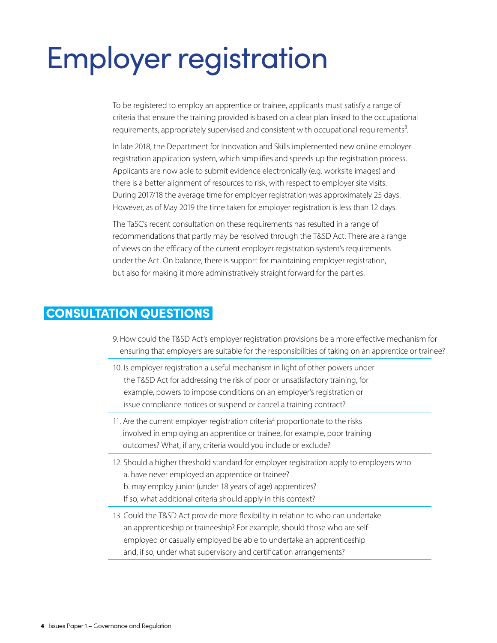# Employer registration

To be registered to employ an apprentice or trainee, applicants must satisfy a range of criteria that ensure the training provided is based on a clear plan linked to the occupational requirements, appropriately supervised and consistent with occupational requirements<sup>3</sup>.

In late 2018, the Department for Innovation and Skills implemented new online employer registration application system, which simplifies and speeds up the registration process. Applicants are now able to submit evidence electronically (e.g. worksite images) and there is a better alignment of resources to risk, with respect to employer site visits. During 2017/18 the average time for employer registration was approximately 25 days. However, as of May 2019 the time taken for employer registration is less than 12 days.

The TaSC's recent consultation on these requirements has resulted in a range of recommendations that partly may be resolved through the T&SD Act. There are a range of views on the efficacy of the current employer registration system's requirements under the Act. On balance, there is support for maintaining employer registration, but also for making it more administratively straight forward for the parties.

### CONSULTATION QUESTIONS

- 9. How could the T&SD Act's employer registration provisions be a more effective mechanism for ensuring that employers are suitable for the responsibilities of taking on an apprentice or trainee?
- 10. Is employer registration a useful mechanism in light of other powers under the T&SD Act for addressing the risk of poor or unsatisfactory training, for example, powers to impose conditions on an employer's registration or issue compliance notices or suspend or cancel a training contract?
- 11. Are the current employer registration criteria<sup>4</sup> proportionate to the risks involved in employing an apprentice or trainee, for example, poor training outcomes? What, if any, criteria would you include or exclude?
- 12. Should a higher threshold standard for employer registration apply to employers who a. have never employed an apprentice or trainee? b. may employ junior (under 18 years of age) apprentices? If so, what additional criteria should apply in this context?
- 13. Could the T&SD Act provide more flexibility in relation to who can undertake an apprenticeship or traineeship? For example, should those who are selfemployed or casually employed be able to undertake an apprenticeship and, if so, under what supervisory and certification arrangements?